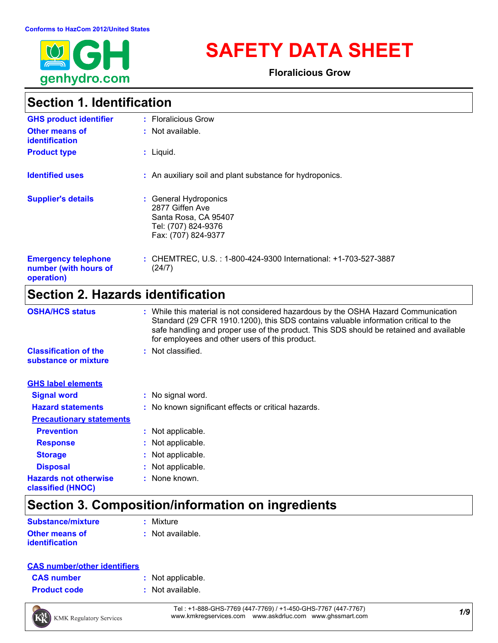

# **SAFETY DATA SHEET**

**Floralicious Grow**

### **Section 1. Identification**

| <b>GHS product identifier</b>                                     | : Floralicious Grow                                                                                            |
|-------------------------------------------------------------------|----------------------------------------------------------------------------------------------------------------|
| <b>Other means of</b><br><b>identification</b>                    | : Not available.                                                                                               |
| <b>Product type</b>                                               | $:$ Liquid.                                                                                                    |
| <b>Identified uses</b>                                            | : An auxiliary soil and plant substance for hydroponics.                                                       |
| <b>Supplier's details</b>                                         | : General Hydroponics<br>2877 Giffen Ave<br>Santa Rosa, CA 95407<br>Tel: (707) 824-9376<br>Fax: (707) 824-9377 |
| <b>Emergency telephone</b><br>number (with hours of<br>operation) | : CHEMTREC, U.S. : 1-800-424-9300 International: +1-703-527-3887<br>(24/7)                                     |

### **Section 2. Hazards identification**

| <b>OSHA/HCS status</b>                               | : While this material is not considered hazardous by the OSHA Hazard Communication<br>Standard (29 CFR 1910.1200), this SDS contains valuable information critical to the<br>safe handling and proper use of the product. This SDS should be retained and available<br>for employees and other users of this product. |
|------------------------------------------------------|-----------------------------------------------------------------------------------------------------------------------------------------------------------------------------------------------------------------------------------------------------------------------------------------------------------------------|
| <b>Classification of the</b><br>substance or mixture | : Not classified.                                                                                                                                                                                                                                                                                                     |
| <b>GHS label elements</b>                            |                                                                                                                                                                                                                                                                                                                       |
| <b>Signal word</b>                                   | : No signal word.                                                                                                                                                                                                                                                                                                     |
| <b>Hazard statements</b>                             | : No known significant effects or critical hazards.                                                                                                                                                                                                                                                                   |
| <b>Precautionary statements</b>                      |                                                                                                                                                                                                                                                                                                                       |
| <b>Prevention</b>                                    | : Not applicable.                                                                                                                                                                                                                                                                                                     |
| <b>Response</b>                                      | : Not applicable.                                                                                                                                                                                                                                                                                                     |
| <b>Storage</b>                                       | : Not applicable.                                                                                                                                                                                                                                                                                                     |
| <b>Disposal</b>                                      | : Not applicable.                                                                                                                                                                                                                                                                                                     |
| <b>Hazards not otherwise</b><br>classified (HNOC)    | : None known.                                                                                                                                                                                                                                                                                                         |

# **Section 3. Composition/information on ingredients**

| <b>Substance/mixture</b> | : Mixture          |
|--------------------------|--------------------|
| <b>Other means of</b>    | $:$ Not available. |
| <i>identification</i>    |                    |

#### **CAS number/other identifiers**

| <b>CAS number</b> |  |  |
|-------------------|--|--|
|-------------------|--|--|

- **:** Not applicable.
- **Product code :** Not available.



*1/9* Tel : +1-888-GHS-7769 (447-7769) / +1-450-GHS-7767 (447-7767) www.kmkregservices.com www.askdrluc.com www.ghssmart.com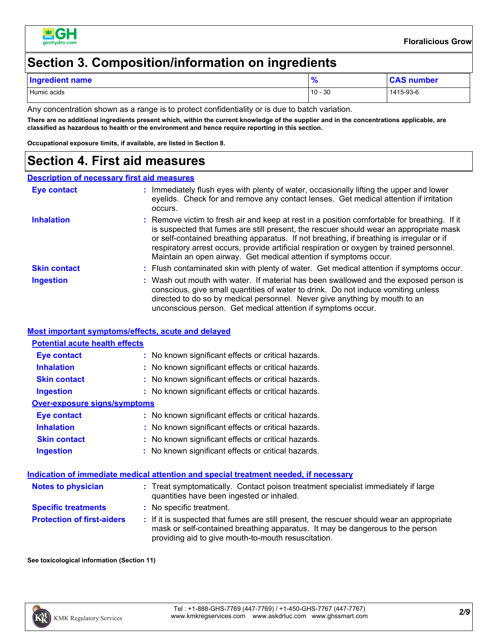

### **Section 3. Composition/information on ingredients**

| <b>Ingredient name</b> | הו        | <b>CAS number</b> |
|------------------------|-----------|-------------------|
| Humic acids            | $10 - 30$ | 1415-93-6         |

Any concentration shown as a range is to protect confidentiality or is due to batch variation.

**There are no additional ingredients present which, within the current knowledge of the supplier and in the concentrations applicable, are classified as hazardous to health or the environment and hence require reporting in this section.**

**Occupational exposure limits, if available, are listed in Section 8.**

#### **Section 4. First aid measures**

#### **Description of necessary first aid measures**

| Eye contact         | Immediately flush eyes with plenty of water, occasionally lifting the upper and lower<br>eyelids. Check for and remove any contact lenses. Get medical attention if irritation<br>occurs.                                                                                                                                                                                                                                                            |
|---------------------|------------------------------------------------------------------------------------------------------------------------------------------------------------------------------------------------------------------------------------------------------------------------------------------------------------------------------------------------------------------------------------------------------------------------------------------------------|
| <b>Inhalation</b>   | : Remove victim to fresh air and keep at rest in a position comfortable for breathing. If it<br>is suspected that fumes are still present, the rescuer should wear an appropriate mask<br>or self-contained breathing apparatus. If not breathing, if breathing is irregular or if<br>respiratory arrest occurs, provide artificial respiration or oxygen by trained personnel.<br>Maintain an open airway. Get medical attention if symptoms occur. |
| <b>Skin contact</b> | : Flush contaminated skin with plenty of water. Get medical attention if symptoms occur.                                                                                                                                                                                                                                                                                                                                                             |
| <b>Ingestion</b>    | : Wash out mouth with water. If material has been swallowed and the exposed person is<br>conscious, give small quantities of water to drink. Do not induce vomiting unless<br>directed to do so by medical personnel. Never give anything by mouth to an<br>unconscious person. Get medical attention if symptoms occur.                                                                                                                             |

#### **Most important symptoms/effects, acute and delayed**

| <b>Potential acute health effects</b> |                                                                                                                                                                            |
|---------------------------------------|----------------------------------------------------------------------------------------------------------------------------------------------------------------------------|
| Eye contact                           | : No known significant effects or critical hazards.                                                                                                                        |
| <b>Inhalation</b>                     | : No known significant effects or critical hazards.                                                                                                                        |
| <b>Skin contact</b>                   | : No known significant effects or critical hazards.                                                                                                                        |
| <b>Ingestion</b>                      | : No known significant effects or critical hazards.                                                                                                                        |
| <b>Over-exposure signs/symptoms</b>   |                                                                                                                                                                            |
| Eye contact                           | : No known significant effects or critical hazards.                                                                                                                        |
| <b>Inhalation</b>                     | : No known significant effects or critical hazards.                                                                                                                        |
| <b>Skin contact</b>                   | : No known significant effects or critical hazards.                                                                                                                        |
| <b>Ingestion</b>                      | : No known significant effects or critical hazards.                                                                                                                        |
|                                       | Indication of immediate medical attention and special treatment needed, if necessary                                                                                       |
| Notes to physician                    | : Treat symptomatically. Contact poison treatment specialist immediately if large<br>quantities have been ingested or inhaled.                                             |
| <b>Specific treatments</b>            | : No specific treatment.                                                                                                                                                   |
| <b>Protection of first-aiders</b>     | : If it is suspected that fumes are still present, the rescuer should wear an appropriate<br>mask or self-contained breathing apparatus. It may be dangerous to the person |

providing aid to give mouth-to-mouth resuscitation.

**See toxicological information (Section 11)**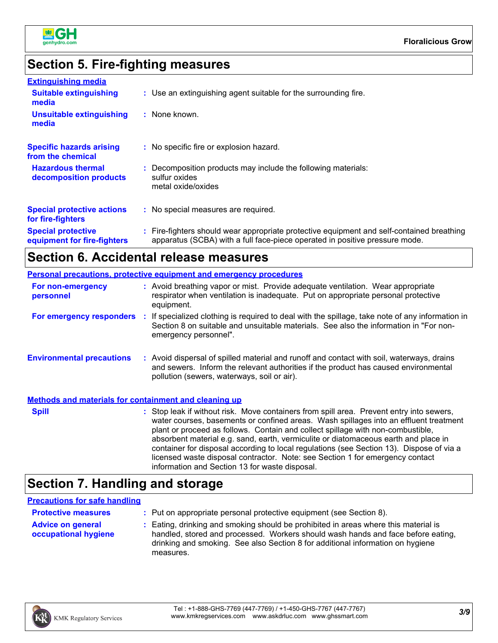

### **Section 5. Fire-fighting measures**

| <b>Extinguishing media</b>                               |                                                                                                                                                                          |
|----------------------------------------------------------|--------------------------------------------------------------------------------------------------------------------------------------------------------------------------|
| <b>Suitable extinguishing</b><br>media                   | : Use an extinguishing agent suitable for the surrounding fire.                                                                                                          |
| <b>Unsuitable extinguishing</b><br>media                 | : None known.                                                                                                                                                            |
| <b>Specific hazards arising</b><br>from the chemical     | : No specific fire or explosion hazard.                                                                                                                                  |
| <b>Hazardous thermal</b><br>decomposition products       | : Decomposition products may include the following materials:<br>sulfur oxides<br>metal oxide/oxides                                                                     |
| <b>Special protective actions</b><br>for fire-fighters   | : No special measures are required.                                                                                                                                      |
| <b>Special protective</b><br>equipment for fire-fighters | : Fire-fighters should wear appropriate protective equipment and self-contained breathing<br>apparatus (SCBA) with a full face-piece operated in positive pressure mode. |

#### **Section 6. Accidental release measures**

#### **Environmental precautions Personal precautions, protective equipment and emergency procedures :** Avoid dispersal of spilled material and runoff and contact with soil, waterways, drains **:** Avoid breathing vapor or mist. Provide adequate ventilation. Wear appropriate respirator when ventilation is inadequate. Put on appropriate personal protective equipment. and sewers. Inform the relevant authorities if the product has caused environmental pollution (sewers, waterways, soil or air). **Methods and materials for containment and cleaning up For non-emergency personnel For emergency responders :** If specialized clothing is required to deal with the spillage, take note of any information in Section 8 on suitable and unsuitable materials. See also the information in "For nonemergency personnel". **Spill** Stop leak if without risk. Move containers from spill area. Prevent entry into sewers, water courses, basements or confined areas. Wash spillages into an effluent treatment plant or proceed as follows. Contain and collect spillage with non-combustible, absorbent material e.g. sand, earth, vermiculite or diatomaceous earth and place in container for disposal according to local regulations (see Section 13). Dispose of via a

### **Section 7. Handling and storage**

#### **Precautions for safe handling**

| <b>Protective measures</b>                       | : Put on appropriate personal protective equipment (see Section 8).                                                                                                                                                                                                    |
|--------------------------------------------------|------------------------------------------------------------------------------------------------------------------------------------------------------------------------------------------------------------------------------------------------------------------------|
| <b>Advice on general</b><br>occupational hygiene | : Eating, drinking and smoking should be prohibited in areas where this material is<br>handled, stored and processed. Workers should wash hands and face before eating,<br>drinking and smoking. See also Section 8 for additional information on hygiene<br>measures. |

information and Section 13 for waste disposal.



licensed waste disposal contractor. Note: see Section 1 for emergency contact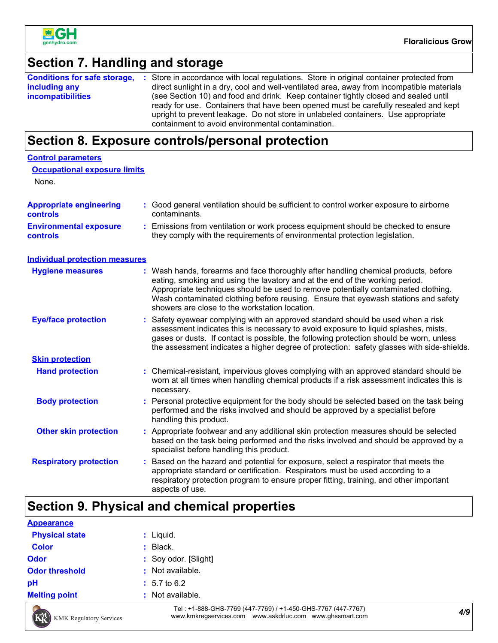

### **Section 7. Handling and storage**

|                          | <b>Conditions for safe storage, :</b> Store in accordance with local regulations. Store in original container protected from |
|--------------------------|------------------------------------------------------------------------------------------------------------------------------|
| including any            | direct sunlight in a dry, cool and well-ventilated area, away from incompatible materials                                    |
| <b>incompatibilities</b> | (see Section 10) and food and drink. Keep container tightly closed and sealed until                                          |
|                          | ready for use. Containers that have been opened must be carefully resealed and kept                                          |
|                          | upright to prevent leakage. Do not store in unlabeled containers. Use appropriate                                            |
|                          | containment to avoid environmental contamination.                                                                            |

#### **Section 8. Exposure controls/personal protection**

| <b>Control parameters</b>                  |                                                                                                                                                                                                                                                                                                                                                                                                 |
|--------------------------------------------|-------------------------------------------------------------------------------------------------------------------------------------------------------------------------------------------------------------------------------------------------------------------------------------------------------------------------------------------------------------------------------------------------|
| <b>Occupational exposure limits</b>        |                                                                                                                                                                                                                                                                                                                                                                                                 |
| None.                                      |                                                                                                                                                                                                                                                                                                                                                                                                 |
| <b>Appropriate engineering</b><br>controls | : Good general ventilation should be sufficient to control worker exposure to airborne<br>contaminants.                                                                                                                                                                                                                                                                                         |
| <b>Environmental exposure</b><br>controls  | : Emissions from ventilation or work process equipment should be checked to ensure<br>they comply with the requirements of environmental protection legislation.                                                                                                                                                                                                                                |
| <b>Individual protection measures</b>      |                                                                                                                                                                                                                                                                                                                                                                                                 |
| <b>Hygiene measures</b>                    | Wash hands, forearms and face thoroughly after handling chemical products, before<br>eating, smoking and using the lavatory and at the end of the working period.<br>Appropriate techniques should be used to remove potentially contaminated clothing.<br>Wash contaminated clothing before reusing. Ensure that eyewash stations and safety<br>showers are close to the workstation location. |
| <b>Eye/face protection</b>                 | Safety eyewear complying with an approved standard should be used when a risk<br>assessment indicates this is necessary to avoid exposure to liquid splashes, mists,<br>gases or dusts. If contact is possible, the following protection should be worn, unless<br>the assessment indicates a higher degree of protection: safety glasses with side-shields.                                    |
| <b>Skin protection</b>                     |                                                                                                                                                                                                                                                                                                                                                                                                 |
| <b>Hand protection</b>                     | : Chemical-resistant, impervious gloves complying with an approved standard should be<br>worn at all times when handling chemical products if a risk assessment indicates this is<br>necessary.                                                                                                                                                                                                 |
| <b>Body protection</b>                     | Personal protective equipment for the body should be selected based on the task being<br>÷.<br>performed and the risks involved and should be approved by a specialist before<br>handling this product.                                                                                                                                                                                         |
| <b>Other skin protection</b>               | : Appropriate footwear and any additional skin protection measures should be selected<br>based on the task being performed and the risks involved and should be approved by a<br>specialist before handling this product.                                                                                                                                                                       |
| <b>Respiratory protection</b>              | Based on the hazard and potential for exposure, select a respirator that meets the<br>t.<br>appropriate standard or certification. Respirators must be used according to a<br>respiratory protection program to ensure proper fitting, training, and other important<br>aspects of use.                                                                                                         |

### **Section 9. Physical and chemical properties**

| <b>Appearance</b>     |                         |
|-----------------------|-------------------------|
| <b>Physical state</b> | $:$ Liquid.             |
| <b>Color</b>          | $:$ Black.              |
| <b>Odor</b>           | : Soy odor. [Slight]    |
| <b>Odor threshold</b> | : Not available.        |
| pH                    | $: 5.7 \text{ to } 6.2$ |
| <b>Melting point</b>  | : Not available.        |
|                       |                         |



*4/9* Tel : +1-888-GHS-7769 (447-7769) / +1-450-GHS-7767 (447-7767) www.kmkregservices.com www.askdrluc.com www.ghssmart.com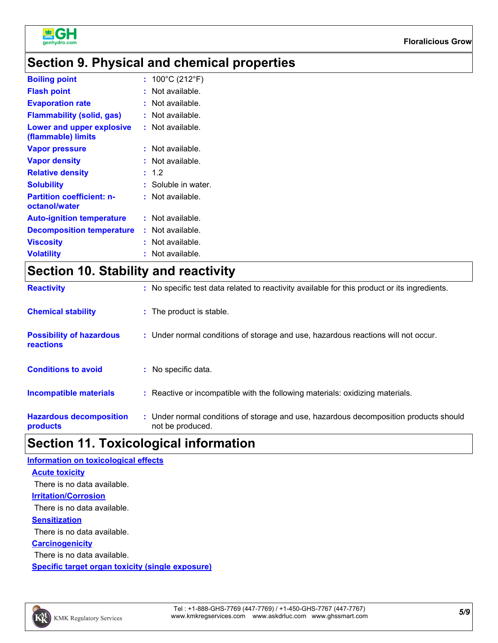

### **Section 9. Physical and chemical properties**

| <b>Boiling point</b>                              | : $100^{\circ}$ C (212 $^{\circ}$ F) |
|---------------------------------------------------|--------------------------------------|
| <b>Flash point</b>                                | $:$ Not available.                   |
| <b>Evaporation rate</b>                           | : Not available.                     |
| <b>Flammability (solid, gas)</b>                  | : Not available.                     |
| Lower and upper explosive<br>(flammable) limits   | $:$ Not available.                   |
| <b>Vapor pressure</b>                             | $:$ Not available.                   |
| <b>Vapor density</b>                              | : Not available.                     |
| <b>Relative density</b>                           | : 1.2                                |
| <b>Solubility</b>                                 | : Soluble in water.                  |
| <b>Partition coefficient: n-</b><br>octanol/water | $:$ Not available.                   |
| <b>Auto-ignition temperature</b>                  | $:$ Not available.                   |
| <b>Decomposition temperature</b>                  | $:$ Not available.                   |
| <b>Viscosity</b>                                  | : Not available.                     |
| <b>Volatility</b>                                 | $:$ Not available.                   |

# **Section 10. Stability and reactivity**

| <b>Reactivity</b>                                   | : No specific test data related to reactivity available for this product or its ingredients.              |
|-----------------------------------------------------|-----------------------------------------------------------------------------------------------------------|
| <b>Chemical stability</b>                           | : The product is stable.                                                                                  |
| <b>Possibility of hazardous</b><br><b>reactions</b> | : Under normal conditions of storage and use, hazardous reactions will not occur.                         |
| <b>Conditions to avoid</b>                          | : No specific data.                                                                                       |
| Incompatible materials                              | : Reactive or incompatible with the following materials: oxidizing materials.                             |
| <b>Hazardous decomposition</b><br>products          | : Under normal conditions of storage and use, hazardous decomposition products should<br>not be produced. |

# **Section 11. Toxicological information**

| <b>Information on toxicological effects</b>      |
|--------------------------------------------------|
| <b>Acute toxicity</b>                            |
| There is no data available.                      |
| <u><b>Irritation/Corrosion</b></u>               |
| There is no data available.                      |
| <b>Sensitization</b>                             |
| There is no data available.                      |
| <b>Carcinogenicity</b>                           |
| There is no data available.                      |
| Specific target organ toxicity (single exposure) |

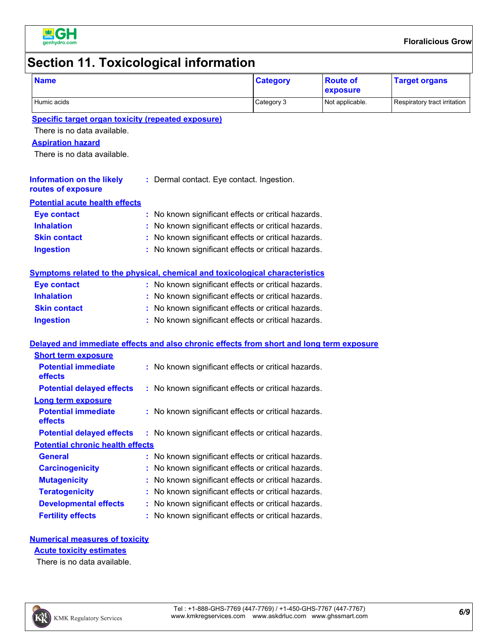

# **Section 11. Toxicological information**

| <b>Name</b>                                                                              |            | <b>Category</b>                                     | <b>Route of</b><br>exposure  | <b>Target organs</b> |
|------------------------------------------------------------------------------------------|------------|-----------------------------------------------------|------------------------------|----------------------|
| Humic acids                                                                              | Category 3 | Not applicable.                                     | Respiratory tract irritation |                      |
| <b>Specific target organ toxicity (repeated exposure)</b>                                |            |                                                     |                              |                      |
| There is no data available.                                                              |            |                                                     |                              |                      |
| <b>Aspiration hazard</b><br>There is no data available.                                  |            |                                                     |                              |                      |
| <b>Information on the likely</b><br>routes of exposure                                   |            | : Dermal contact. Eye contact. Ingestion.           |                              |                      |
| <b>Potential acute health effects</b>                                                    |            |                                                     |                              |                      |
| <b>Eye contact</b>                                                                       |            | : No known significant effects or critical hazards. |                              |                      |
| <b>Inhalation</b>                                                                        |            | : No known significant effects or critical hazards. |                              |                      |
| <b>Skin contact</b>                                                                      |            | : No known significant effects or critical hazards. |                              |                      |
| <b>Ingestion</b>                                                                         |            | : No known significant effects or critical hazards. |                              |                      |
| Symptoms related to the physical, chemical and toxicological characteristics             |            |                                                     |                              |                      |
| <b>Eye contact</b>                                                                       |            | : No known significant effects or critical hazards. |                              |                      |
| <b>Inhalation</b>                                                                        |            | : No known significant effects or critical hazards. |                              |                      |
| <b>Skin contact</b>                                                                      |            | : No known significant effects or critical hazards. |                              |                      |
| <b>Ingestion</b>                                                                         |            | : No known significant effects or critical hazards. |                              |                      |
| Delayed and immediate effects and also chronic effects from short and long term exposure |            |                                                     |                              |                      |
| <b>Short term exposure</b>                                                               |            |                                                     |                              |                      |
| <b>Potential immediate</b><br>effects                                                    |            | : No known significant effects or critical hazards. |                              |                      |
| <b>Potential delayed effects</b>                                                         |            | : No known significant effects or critical hazards. |                              |                      |
| Long term exposure                                                                       |            |                                                     |                              |                      |
| <b>Potential immediate</b><br>effects                                                    |            | : No known significant effects or critical hazards. |                              |                      |
| <b>Potential delayed effects :</b> No known significant effects or critical hazards.     |            |                                                     |                              |                      |
| <b>Potential chronic health effects</b>                                                  |            |                                                     |                              |                      |
| <b>General</b>                                                                           |            | : No known significant effects or critical hazards. |                              |                      |
| <b>Carcinogenicity</b>                                                                   |            | : No known significant effects or critical hazards. |                              |                      |
| <b>Mutagenicity</b>                                                                      |            | : No known significant effects or critical hazards. |                              |                      |
| <b>Teratogenicity</b>                                                                    |            | : No known significant effects or critical hazards. |                              |                      |
| <b>Developmental effects</b>                                                             |            | : No known significant effects or critical hazards. |                              |                      |
| <b>Fertility effects</b>                                                                 |            | : No known significant effects or critical hazards. |                              |                      |
| <b>Numerical measures of toxicity</b>                                                    |            |                                                     |                              |                      |
| <b>Acute toxicity estimates</b>                                                          |            |                                                     |                              |                      |
| Thare is no data augustable                                                              |            |                                                     |                              |                      |

There is no data available.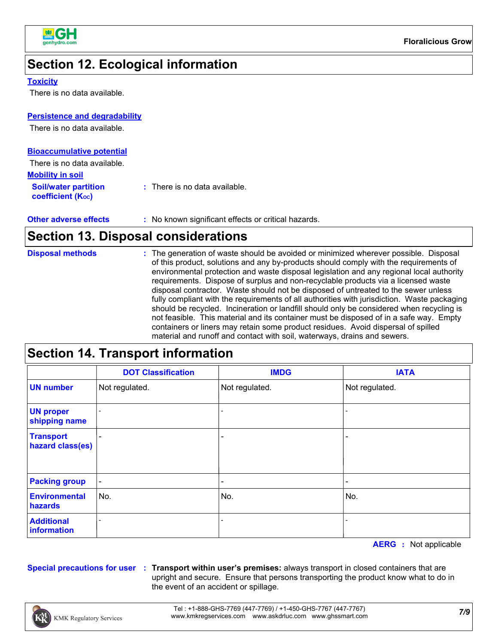

### **Section 12. Ecological information**

#### **Toxicity**

There is no data available.

#### **Persistence and degradability**

There is no data available.

| <b>Bioaccumulative potential</b>                 |                                          |
|--------------------------------------------------|------------------------------------------|
| There is no data available.                      |                                          |
| <b>Mobility in soil</b>                          |                                          |
| <b>Soil/water partition</b><br>coefficient (Koc) | $\therefore$ There is no data available. |

| <b>Other adverse effects</b> | : No known significant effects or critical hazards. |
|------------------------------|-----------------------------------------------------|
|------------------------------|-----------------------------------------------------|

### **Section 13. Disposal considerations**

# **Section 14. Transport information**

|                                      | <b>DOT Classification</b> | <b>IMDG</b>              | <b>IATA</b>                  |
|--------------------------------------|---------------------------|--------------------------|------------------------------|
| <b>UN number</b>                     | Not regulated.            | Not regulated.           | Not regulated.               |
| <b>UN proper</b><br>shipping name    |                           |                          |                              |
| <b>Transport</b><br>hazard class(es) | $\overline{\phantom{0}}$  |                          | $\qquad \qquad \blacksquare$ |
| <b>Packing group</b>                 | $\blacksquare$            | $\overline{\phantom{0}}$ | $\qquad \qquad \blacksquare$ |
| <b>Environmental</b><br>hazards      | No.                       | No.                      | No.                          |
| <b>Additional</b><br>information     |                           |                          |                              |

**AERG :** Not applicable

**Special precautions for user Transport within user's premises:** always transport in closed containers that are **:** upright and secure. Ensure that persons transporting the product know what to do in the event of an accident or spillage.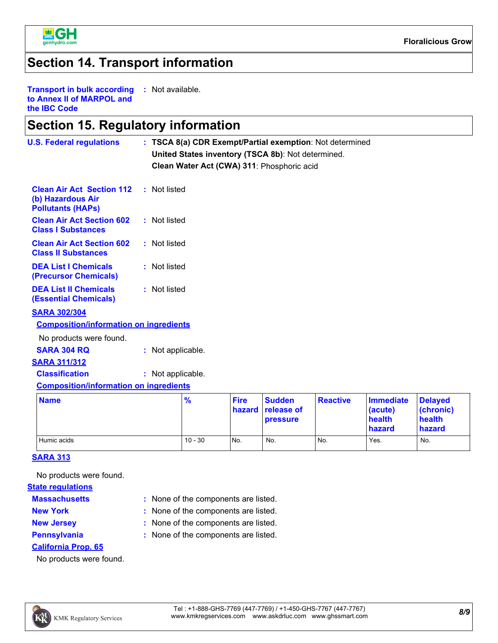

#### **Section 14. Transport information**

**Transport in bulk according to Annex II of MARPOL and the IBC Code :** Not available.

#### **Section 15. Regulatory information**

| <b>U.S. Federal regulations</b>                                                   |                   |               |                       | : TSCA 8(a) CDR Exempt/Partial exemption: Not determined<br>United States inventory (TSCA 8b): Not determined.<br>Clean Water Act (CWA) 311: Phosphoric acid |                 |                                                 |                                                 |
|-----------------------------------------------------------------------------------|-------------------|---------------|-----------------------|--------------------------------------------------------------------------------------------------------------------------------------------------------------|-----------------|-------------------------------------------------|-------------------------------------------------|
| <b>Clean Air Act Section 112</b><br>(b) Hazardous Air<br><b>Pollutants (HAPs)</b> | : Not listed      |               |                       |                                                                                                                                                              |                 |                                                 |                                                 |
| <b>Clean Air Act Section 602</b><br><b>Class I Substances</b>                     | : Not listed      |               |                       |                                                                                                                                                              |                 |                                                 |                                                 |
| <b>Clean Air Act Section 602</b><br><b>Class II Substances</b>                    | : Not listed      |               |                       |                                                                                                                                                              |                 |                                                 |                                                 |
| <b>DEA List I Chemicals</b><br>(Precursor Chemicals)                              | : Not listed      |               |                       |                                                                                                                                                              |                 |                                                 |                                                 |
| <b>DEA List II Chemicals</b><br><b>(Essential Chemicals)</b>                      | : Not listed      |               |                       |                                                                                                                                                              |                 |                                                 |                                                 |
| <b>SARA 302/304</b><br><b>Composition/information on ingredients</b>              |                   |               |                       |                                                                                                                                                              |                 |                                                 |                                                 |
| No products were found.                                                           |                   |               |                       |                                                                                                                                                              |                 |                                                 |                                                 |
| <b>SARA 304 RQ</b>                                                                | : Not applicable. |               |                       |                                                                                                                                                              |                 |                                                 |                                                 |
| <b>SARA 311/312</b>                                                               |                   |               |                       |                                                                                                                                                              |                 |                                                 |                                                 |
| <b>Classification</b><br><b>Composition/information on ingredients</b>            | : Not applicable. |               |                       |                                                                                                                                                              |                 |                                                 |                                                 |
|                                                                                   |                   |               |                       |                                                                                                                                                              |                 |                                                 |                                                 |
| <b>Name</b>                                                                       |                   | $\frac{9}{6}$ | <b>Fire</b><br>hazard | <b>Sudden</b><br>release of<br>pressure                                                                                                                      | <b>Reactive</b> | <b>Immediate</b><br>(acute)<br>health<br>hazard | <b>Delayed</b><br>(chronic)<br>health<br>hazard |
| Humic acids                                                                       |                   | $10 - 30$     | No.                   | No.                                                                                                                                                          | No.             | Yes.                                            | No.                                             |

#### **SARA 313**

No products were found.

#### **State regulations**

- **Massachusetts**
- 
- 
- None of the components are listed. **:**
- 
- 
- 
- 
- 
- **New York :** None of the components are listed.
	-
- **New Jersey :** None of the components are listed.
	-
- **California Prop. 65**
- **Pennsylvania :** None of the components are listed.

No products were found.